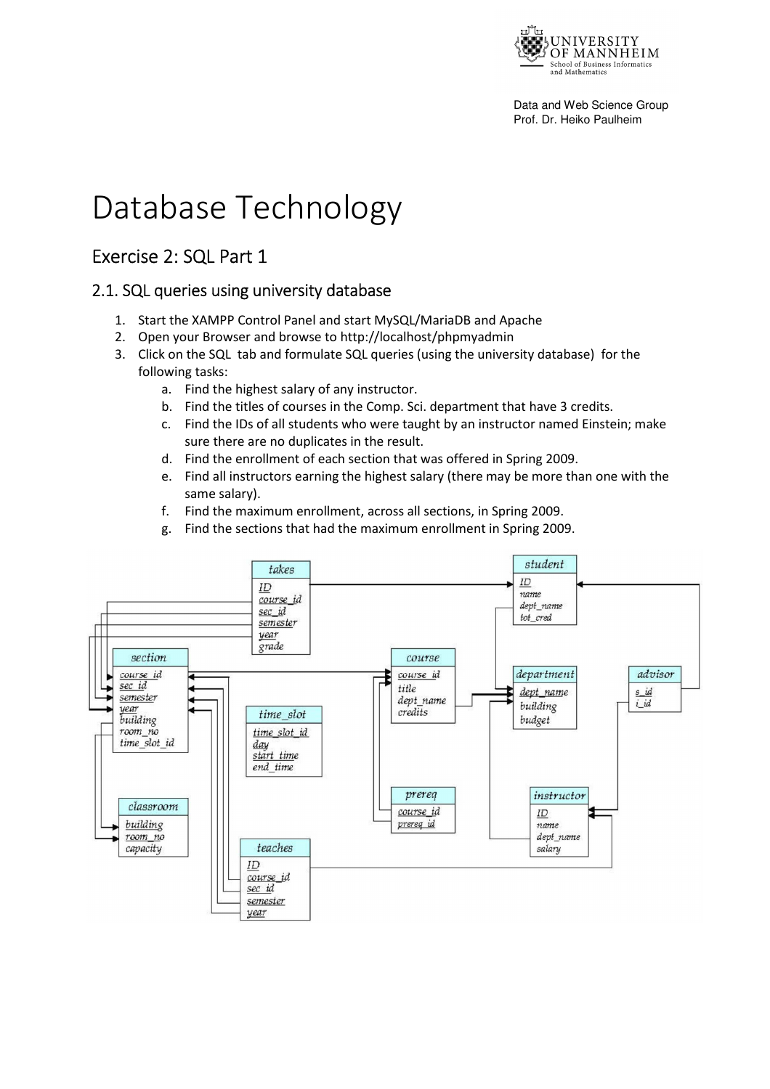

# Database Technology

# Exercise 2: SQL Part 1

#### 2.1. SQL queries using university database

- 1. Start the XAMPP Control Panel and start MySQL/MariaDB and Apache
- 2. Open your Browser and browse to http://localhost/phpmyadmin
- 3. Click on the SQL tab and formulate SQL queries (using the university database) for the following tasks:
	- a. Find the highest salary of any instructor.
	- b. Find the titles of courses in the Comp. Sci. department that have 3 credits.
	- c. Find the IDs of all students who were taught by an instructor named Einstein; make sure there are no duplicates in the result.
	- d. Find the enrollment of each section that was offered in Spring 2009.
	- e. Find all instructors earning the highest salary (there may be more than one with the same salary).
	- f. Find the maximum enrollment, across all sections, in Spring 2009.
	- g. Find the sections that had the maximum enrollment in Spring 2009.